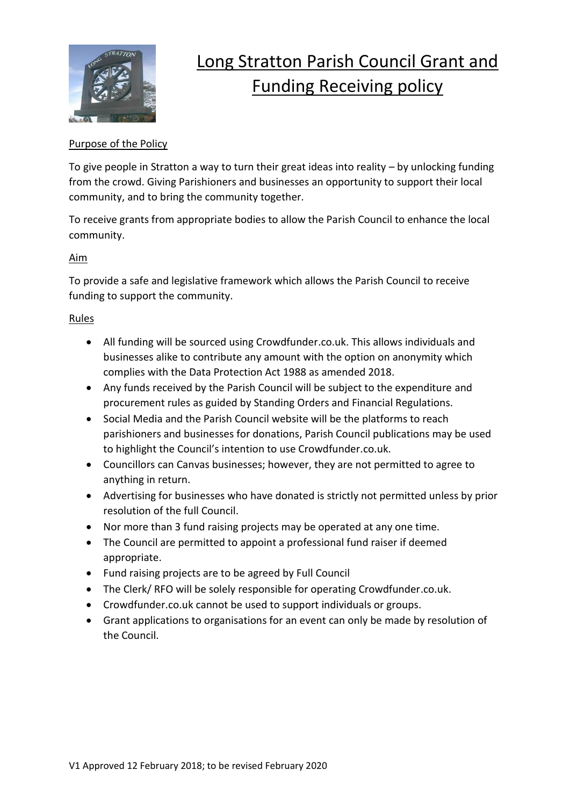

# Long Stratton Parish Council Grant and Funding Receiving policy

## Purpose of the Policy

To give people in Stratton a way to turn their great ideas into reality – by unlocking funding from the crowd. Giving Parishioners and businesses an opportunity to support their local community, and to bring the community together.

To receive grants from appropriate bodies to allow the Parish Council to enhance the local community.

#### Aim

To provide a safe and legislative framework which allows the Parish Council to receive funding to support the community.

## Rules

- All funding will be sourced using Crowdfunder.co.uk. This allows individuals and businesses alike to contribute any amount with the option on anonymity which complies with the Data Protection Act 1988 as amended 2018.
- Any funds received by the Parish Council will be subject to the expenditure and procurement rules as guided by Standing Orders and Financial Regulations.
- Social Media and the Parish Council website will be the platforms to reach parishioners and businesses for donations, Parish Council publications may be used to highlight the Council's intention to use Crowdfunder.co.uk.
- Councillors can Canvas businesses; however, they are not permitted to agree to anything in return.
- Advertising for businesses who have donated is strictly not permitted unless by prior resolution of the full Council.
- Nor more than 3 fund raising projects may be operated at any one time.
- The Council are permitted to appoint a professional fund raiser if deemed appropriate.
- Fund raising projects are to be agreed by Full Council
- The Clerk/ RFO will be solely responsible for operating Crowdfunder.co.uk.
- Crowdfunder.co.uk cannot be used to support individuals or groups.
- Grant applications to organisations for an event can only be made by resolution of the Council.